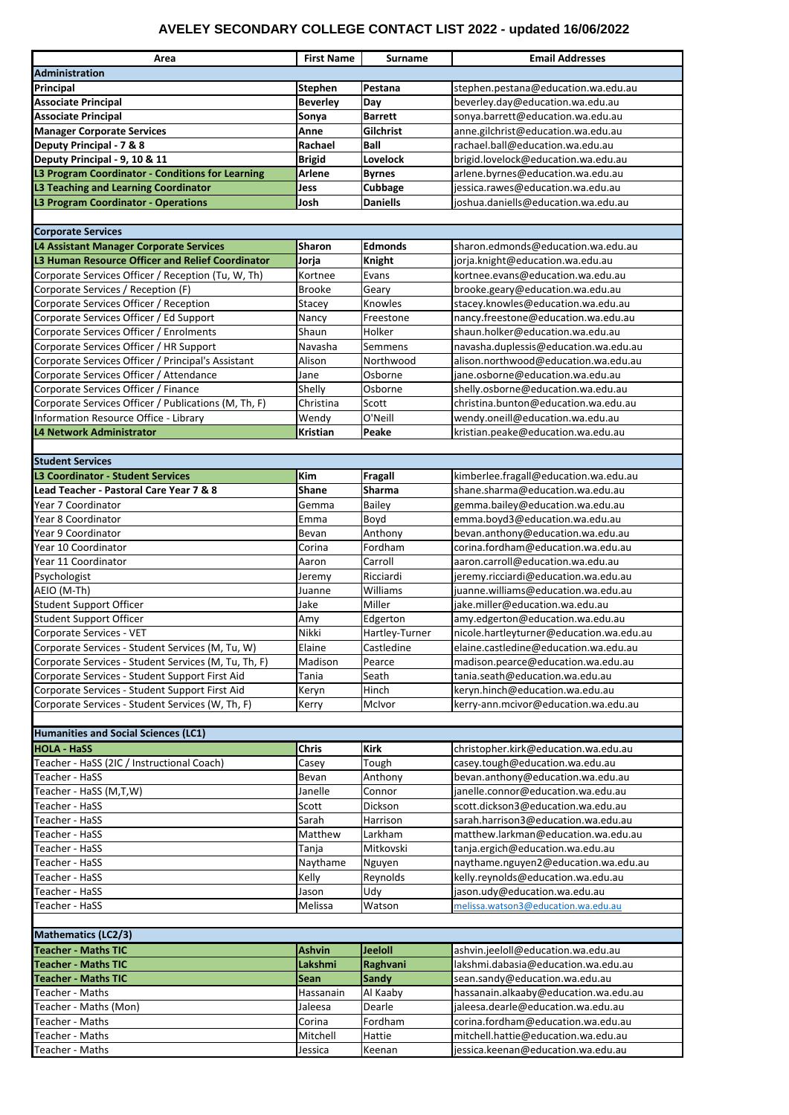| Area                                                    | <b>First Name</b> | <b>Surname</b>  | <b>Email Addresses</b>                   |  |  |
|---------------------------------------------------------|-------------------|-----------------|------------------------------------------|--|--|
| <b>Administration</b>                                   |                   |                 |                                          |  |  |
| Principal                                               | <b>Stephen</b>    | Pestana         | stephen.pestana@education.wa.edu.au      |  |  |
| <b>Associate Principal</b>                              | <b>Beverley</b>   | Day             | beverley.day@education.wa.edu.au         |  |  |
| <b>Associate Principal</b>                              | Sonya             | <b>Barrett</b>  | sonya.barrett@education.wa.edu.au        |  |  |
| <b>Manager Corporate Services</b>                       | Anne              | Gilchrist       | anne.gilchrist@education.wa.edu.au       |  |  |
| Deputy Principal - 7 & 8                                | Rachael           | <b>Ball</b>     | rachael.ball@education.wa.edu.au         |  |  |
| Deputy Principal - 9, 10 & 11                           | <b>Brigid</b>     | <b>Lovelock</b> | brigid.lovelock@education.wa.edu.au      |  |  |
| L3 Program Coordinator - Conditions for Learning        | <b>Arlene</b>     | <b>Byrnes</b>   | arlene.byrnes@education.wa.edu.au        |  |  |
| L3 Teaching and Learning Coordinator                    | Jess              | Cubbage         | jessica.rawes@education.wa.edu.au        |  |  |
| <b>L3 Program Coordinator - Operations</b>              | Josh              | <b>Daniells</b> | joshua.daniells@education.wa.edu.au      |  |  |
|                                                         |                   |                 |                                          |  |  |
| <b>Corporate Services</b>                               |                   |                 |                                          |  |  |
| L4 Assistant Manager Corporate Services                 | <b>Sharon</b>     | <b>Edmonds</b>  | sharon.edmonds@education.wa.edu.au       |  |  |
| <b>L3 Human Resource Officer and Relief Coordinator</b> | Jorja             | <b>Knight</b>   | jorja.knight@education.wa.edu.au         |  |  |
| Corporate Services Officer / Reception (Tu, W, Th)      | Kortnee           | Evans           | kortnee.evans@education.wa.edu.au        |  |  |
| Corporate Services / Reception (F)                      | <b>Brooke</b>     | Geary           | brooke.geary@education.wa.edu.au         |  |  |
| Corporate Services Officer / Reception                  | <b>Stacey</b>     | Knowles         | stacey.knowles@education.wa.edu.au       |  |  |
| Corporate Services Officer / Ed Support                 | Nancy             | Freestone       | nancy.freestone@education.wa.edu.au      |  |  |
| Corporate Services Officer / Enrolments                 | Shaun             | Holker          | shaun.holker@education.wa.edu.au         |  |  |
| Corporate Services Officer / HR Support                 | Navasha           | Semmens         | navasha.duplessis@education.wa.edu.au    |  |  |
| Corporate Services Officer / Principal's Assistant      | Alison            | Northwood       | alison.northwood@education.wa.edu.au     |  |  |
| Corporate Services Officer / Attendance                 | Jane              | Osborne         | jane.osborne@education.wa.edu.au         |  |  |
| Corporate Services Officer / Finance                    | Shelly            | Osborne         | shelly.osborne@education.wa.edu.au       |  |  |
| Corporate Services Officer / Publications (M, Th, F)    | Christina         | Scott           | christina.bunton@education.wa.edu.au     |  |  |
| Information Resource Office - Library                   | Wendy             | O'Neill         | wendy.oneill@education.wa.edu.au         |  |  |
| <b>L4 Network Administrator</b>                         | <b>Kristian</b>   | Peake           | kristian.peake@education.wa.edu.au       |  |  |
|                                                         |                   |                 |                                          |  |  |
| <b>Student Services</b>                                 |                   |                 |                                          |  |  |
| <b>L3 Coordinator - Student Services</b>                | Kim               | <b>Fragall</b>  | kimberlee.fragall@education.wa.edu.au    |  |  |
| Lead Teacher - Pastoral Care Year 7 & 8                 | <b>Shane</b>      | <b>Sharma</b>   | shane.sharma@education.wa.edu.au         |  |  |
| Year 7 Coordinator                                      | Gemma             | <b>Bailey</b>   | gemma.bailey@education.wa.edu.au         |  |  |
| Year 8 Coordinator                                      | Emma              | Boyd            | emma.boyd3@education.wa.edu.au           |  |  |
| Year 9 Coordinator                                      | Bevan             | Anthony         | bevan.anthony@education.wa.edu.au        |  |  |
| Year 10 Coordinator                                     | Corina            | Fordham         | corina.fordham@education.wa.edu.au       |  |  |
| Year 11 Coordinator                                     | Aaron             | Carroll         | aaron.carroll@education.wa.edu.au        |  |  |
| Psychologist                                            | Jeremy            | Ricciardi       | jeremy.ricciardi@education.wa.edu.au     |  |  |
| AEIO (M-Th)                                             | Juanne            | Williams        | juanne.williams@education.wa.edu.au      |  |  |
| Student Support Officer                                 | Jake              | Miller          | jake.miller@education.wa.edu.au          |  |  |
| Student Support Officer                                 | Amy               | Edgerton        | amy.edgerton@education.wa.edu.au         |  |  |
| Corporate Services - VET                                | Nikki             | Hartley-Turner  | nicole.hartleyturner@education.wa.edu.au |  |  |
| Corporate Services - Student Services (M, Tu, W)        | Elaine            | Castledine      | elaine.castledine@education.wa.edu.au    |  |  |
| Corporate Services - Student Services (M, Tu, Th, F)    | Madison           | Pearce          | madison.pearce@education.wa.edu.au       |  |  |
| Corporate Services - Student Support First Aid          | Tania             | Seath           | tania.seath@education.wa.edu.au          |  |  |
| Corporate Services - Student Support First Aid          | Keryn             | Hinch           | keryn.hinch@education.wa.edu.au          |  |  |
| Corporate Services - Student Services (W, Th, F)        | Kerry             | McIvor          | kerry-ann.mcivor@education.wa.edu.au     |  |  |
|                                                         |                   |                 |                                          |  |  |
| <b>Humanities and Social Sciences (LC1)</b>             |                   |                 |                                          |  |  |
| <b>HOLA - HaSS</b>                                      | <b>Chris</b>      | <b>Kirk</b>     | christopher.kirk@education.wa.edu.au     |  |  |
| Teacher - HaSS (2IC / Instructional Coach)              | Casey             | Tough           | casey.tough@education.wa.edu.au          |  |  |
| Teacher - HaSS                                          | Bevan             | Anthony         | bevan.anthony@education.wa.edu.au        |  |  |
| Teacher - HaSS (M,T,W)                                  | Janelle           | Connor          | janelle.connor@education.wa.edu.au       |  |  |
| Teacher - HaSS                                          | Scott             | Dickson         | scott.dickson3@education.wa.edu.au       |  |  |
| Teacher - HaSS                                          | Sarah             | Harrison        | sarah.harrison3@education.wa.edu.au      |  |  |

| Teacher - HaSS             | Tanja            | Mitkovski    | tanja.ergich@education.wa.edu.au      |
|----------------------------|------------------|--------------|---------------------------------------|
| Teacher - HaSS             | Naythame         | Nguyen       | naythame.nguyen2@education.wa.edu.au  |
| Teacher - HaSS             | Kelly            | Reynolds     | kelly.reynolds@education.wa.edu.au    |
| Teacher - HaSS             | Jason            | Udy          | jason.udy@education.wa.edu.au         |
| Teacher - HaSS             | Melissa          | Watson       | melissa.watson3@education.wa.edu.au   |
|                            |                  |              |                                       |
| <b>Mathematics (LC2/3)</b> |                  |              |                                       |
| <b>Teacher - Maths TIC</b> | Ashvin           | Jeeloll      | ashvin.jeeloll@education.wa.edu.au    |
| <b>Teacher - Maths TIC</b> | Lakshmi          | Raghvani     | lakshmi.dabasia@education.wa.edu.au   |
| <b>Teacher - Maths TIC</b> | <b>Sean</b>      | <b>Sandy</b> | sean.sandy@education.wa.edu.au        |
| Teacher - Maths            | <b>Hassanain</b> | Al Kaaby     | hassanain.alkaaby@education.wa.edu.au |
| Teacher - Maths (Mon)      | Jaleesa          | Dearle       | jaleesa.dearle@education.wa.edu.au    |
| Teacher - Maths            | Corina           | Fordham      | corina.fordham@education.wa.edu.au    |
| <b>Teacher - Maths</b>     | Mitchell         | Hattie       | mitchell.hattie@education.wa.edu.au   |
| Teacher - Maths            | Jessica          | Keenan       | jessica.keenan@education.wa.edu.au    |

Teacher - HaSS **Matthew Larkham [matthew.larkman@education.wa.edu.au](mailto:matthew.larkman@education.wa.edu.au)**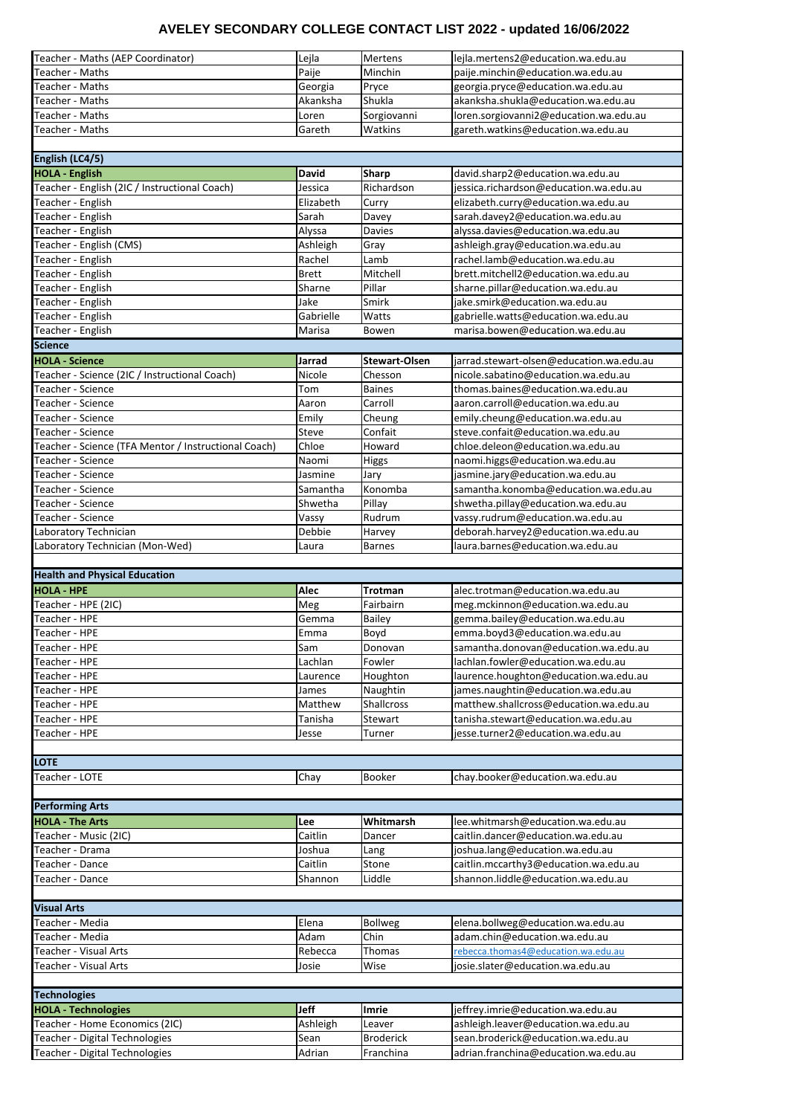| Teacher - Maths (AEP Coordinator)                        | Lejla        | <b>Mertens</b>       | lejla.mertens2@education.wa.edu.au       |
|----------------------------------------------------------|--------------|----------------------|------------------------------------------|
| Teacher - Maths                                          | Paije        | Minchin              | paije.minchin@education.wa.edu.au        |
| Teacher - Maths                                          | Georgia      | Pryce                | georgia.pryce@education.wa.edu.au        |
| Teacher - Maths                                          | Akanksha     | Shukla               | akanksha.shukla@education.wa.edu.au      |
|                                                          |              |                      |                                          |
| Teacher - Maths                                          | Loren        | Sorgiovanni          | loren.sorgiovanni2@education.wa.edu.au   |
| Teacher - Maths                                          | Gareth       | Watkins              | gareth.watkins@education.wa.edu.au       |
|                                                          |              |                      |                                          |
| English (LC4/5)                                          |              |                      |                                          |
| <b>HOLA - English</b>                                    | <b>David</b> | <b>Sharp</b>         | david.sharp2@education.wa.edu.au         |
| Teacher - English (2IC / Instructional Coach)            | Jessica      | Richardson           | jessica.richardson@education.wa.edu.au   |
| Teacher - English                                        | Elizabeth    | Curry                | elizabeth.curry@education.wa.edu.au      |
| Teacher - English                                        | Sarah        | Davey                | sarah.davey2@education.wa.edu.au         |
|                                                          |              |                      |                                          |
| Teacher - English                                        | Alyssa       | <b>Davies</b>        | alyssa.davies@education.wa.edu.au        |
| Teacher - English (CMS)                                  | Ashleigh     | Gray                 | ashleigh.gray@education.wa.edu.au        |
| Teacher - English                                        | Rachel       | Lamb                 | rachel.lamb@education.wa.edu.au          |
| Teacher - English                                        | Brett        | Mitchell             | brett.mitchell2@education.wa.edu.au      |
| Teacher - English                                        | Sharne       | Pillar               | sharne.pillar@education.wa.edu.au        |
| Teacher - English                                        | Jake         | Smirk                | jake.smirk@education.wa.edu.au           |
| Teacher - English                                        | Gabrielle    | Watts                | gabrielle.watts@education.wa.edu.au      |
|                                                          |              |                      |                                          |
| Teacher - English                                        | Marisa       | Bowen                | marisa.bowen@education.wa.edu.au         |
| <b>Science</b>                                           |              |                      |                                          |
| <b>HOLA - Science</b>                                    | Jarrad       | <b>Stewart-Olsen</b> | jarrad.stewart-olsen@education.wa.edu.au |
| Teacher - Science (2IC / Instructional Coach)            | Nicole       | Chesson              | nicole.sabatino@education.wa.edu.au      |
| Teacher - Science                                        | Tom          | <b>Baines</b>        | thomas.baines@education.wa.edu.au        |
| Teacher - Science                                        | Aaron        | Carroll              | aaron.carroll@education.wa.edu.au        |
| Teacher - Science                                        | Emily        | Cheung               | emily.cheung@education.wa.edu.au         |
|                                                          |              |                      |                                          |
| Teacher - Science                                        | <b>Steve</b> | Confait              | steve.confait@education.wa.edu.au        |
| Teacher - Science (TFA Mentor / Instructional Coach)     | Chloe        | Howard               | chloe.deleon@education.wa.edu.au         |
| Teacher - Science                                        | Naomi        | Higgs                | naomi.higgs@education.wa.edu.au          |
| Teacher - Science                                        | Jasmine      | Jary                 | jasmine.jary@education.wa.edu.au         |
| Teacher - Science                                        | Samantha     | Konomba              | samantha.konomba@education.wa.edu.au     |
| Teacher - Science                                        | Shwetha      | Pillay               | shwetha.pillay@education.wa.edu.au       |
| Teacher - Science                                        | Vassy        | Rudrum               | vassy.rudrum@education.wa.edu.au         |
|                                                          | Debbie       |                      | deborah.harvey2@education.wa.edu.au      |
| Laboratory Technician                                    |              | Harvey               |                                          |
|                                                          |              |                      |                                          |
| Laboratory Technician (Mon-Wed)                          | Laura        | <b>Barnes</b>        | laura.barnes@education.wa.edu.au         |
|                                                          |              |                      |                                          |
| <b>Health and Physical Education</b>                     |              |                      |                                          |
| <b>HOLA - HPE</b>                                        | <b>Alec</b>  | <b>Trotman</b>       | alec.trotman@education.wa.edu.au         |
|                                                          | Meg          | Fairbairn            |                                          |
| Teacher - HPE (2IC)                                      |              |                      | meg.mckinnon@education.wa.edu.au         |
| Teacher - HPE                                            | Gemma        | <b>Bailey</b>        | gemma.bailey@education.wa.edu.au         |
| Teacher - HPE                                            | Emma         | Boyd                 | emma.boyd3@education.wa.edu.au           |
| Teacher - HPE                                            | Sam          | Donovan              | samantha.donovan@education.wa.edu.au     |
| Teacher - HPE                                            | Lachlan      | Fowler               | lachlan.fowler@education.wa.edu.au       |
| Teacher - HPE                                            | Laurence     | Houghton             | laurence.houghton@education.wa.edu.au    |
| Teacher - HPE                                            | James        | Naughtin             | james.naughtin@education.wa.edu.au       |
| Teacher - HPE                                            | Matthew      | <b>Shallcross</b>    | matthew.shallcross@education.wa.edu.au   |
| Teacher - HPE                                            | Tanisha      | Stewart              | tanisha.stewart@education.wa.edu.au      |
|                                                          |              |                      |                                          |
| Teacher - HPE                                            | Jesse        | Turner               | jesse.turner2@education.wa.edu.au        |
|                                                          |              |                      |                                          |
| <b>LOTE</b>                                              |              |                      |                                          |
| Teacher - LOTE                                           | Chay         | <b>Booker</b>        | chay.booker@education.wa.edu.au          |
|                                                          |              |                      |                                          |
|                                                          |              |                      |                                          |
| <b>HOLA - The Arts</b>                                   | Lee          | Whitmarsh            | lee.whitmarsh@education.wa.edu.au        |
| Teacher - Music (2IC)                                    | Caitlin      | Dancer               | caitlin.dancer@education.wa.edu.au       |
| Teacher - Drama                                          |              |                      |                                          |
|                                                          | Joshua       | Lang                 | joshua.lang@education.wa.edu.au          |
| Teacher - Dance                                          | Caitlin      | Stone                | caitlin.mccarthy3@education.wa.edu.au    |
| Teacher - Dance                                          | Shannon      | Liddle               | shannon.liddle@education.wa.edu.au       |
|                                                          |              |                      |                                          |
| <b>Visual Arts</b>                                       |              |                      |                                          |
| Teacher - Media                                          | Elena        | <b>Bollweg</b>       | elena.bollweg@education.wa.edu.au        |
| Teacher - Media                                          | Adam         | Chin                 | adam.chin@education.wa.edu.au            |
|                                                          |              |                      |                                          |
| Teacher - Visual Arts                                    | Rebecca      | Thomas               | rebecca.thomas4@education.wa.edu.au      |
| Teacher - Visual Arts                                    | Josie        | Wise                 | josie.slater@education.wa.edu.au         |
|                                                          |              |                      |                                          |
| <b>Technologies</b>                                      |              |                      |                                          |
| <b>HOLA - Technologies</b>                               | <b>Jeff</b>  | <b>Imrie</b>         | jeffrey.imrie@education.wa.edu.au        |
| <b>Performing Arts</b><br>Teacher - Home Economics (2IC) | Ashleigh     | Leaver               | ashleigh.leaver@education.wa.edu.au      |
| Teacher - Digital Technologies                           | Sean         | <b>Broderick</b>     | sean.broderick@education.wa.edu.au       |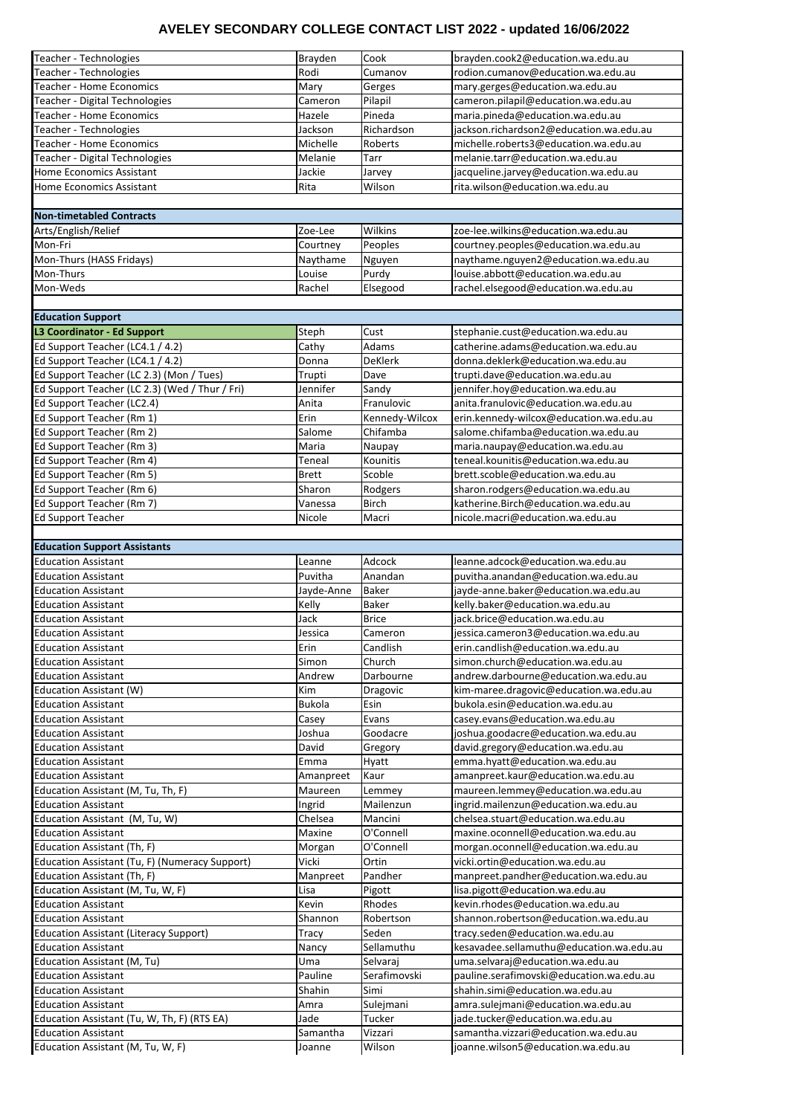| Teacher - Technologies                         | Brayden       | Cook           | brayden.cook2@education.wa.edu.au        |
|------------------------------------------------|---------------|----------------|------------------------------------------|
|                                                |               |                |                                          |
| Teacher - Technologies                         | Rodi          | Cumanov        | rodion.cumanov@education.wa.edu.au       |
| <b>Teacher - Home Economics</b>                | Mary          | Gerges         | mary.gerges@education.wa.edu.au          |
| Teacher - Digital Technologies                 | Cameron       | Pilapil        | cameron.pilapil@education.wa.edu.au      |
| <b>Teacher - Home Economics</b>                | Hazele        | Pineda         | maria.pineda@education.wa.edu.au         |
| Teacher - Technologies                         | Jackson       | Richardson     | jackson.richardson2@education.wa.edu.au  |
| <b>Teacher - Home Economics</b>                | Michelle      | Roberts        | michelle.roberts3@education.wa.edu.au    |
| Teacher - Digital Technologies                 | Melanie       | Tarr           | melanie.tarr@education.wa.edu.au         |
| Home Economics Assistant                       | Jackie        |                |                                          |
|                                                |               | Jarvey         | jacqueline.jarvey@education.wa.edu.au    |
| <b>Home Economics Assistant</b>                | Rita          | Wilson         | rita.wilson@education.wa.edu.au          |
|                                                |               |                |                                          |
| <b>Non-timetabled Contracts</b>                |               |                |                                          |
| Arts/English/Relief                            | Zoe-Lee       | Wilkins        | zoe-lee.wilkins@education.wa.edu.au      |
| Mon-Fri                                        | Courtney      | Peoples        | courtney.peoples@education.wa.edu.au     |
| Mon-Thurs (HASS Fridays)                       | Naythame      | Nguyen         | naythame.nguyen2@education.wa.edu.au     |
| Mon-Thurs                                      | Louise        | Purdy          | louise.abbott@education.wa.edu.au        |
|                                                |               |                |                                          |
| Mon-Weds                                       | Rachel        | Elsegood       | rachel.elsegood@education.wa.edu.au      |
|                                                |               |                |                                          |
| <b>Education Support</b>                       |               |                |                                          |
| <b>L3 Coordinator - Ed Support</b>             | Steph         | Cust           | stephanie.cust@education.wa.edu.au       |
| Ed Support Teacher (LC4.1 / 4.2)               | Cathy         | Adams          | catherine.adams@education.wa.edu.au      |
| Ed Support Teacher (LC4.1 / 4.2)               | Donna         | <b>DeKlerk</b> | donna.deklerk@education.wa.edu.au        |
| Ed Support Teacher (LC 2.3) (Mon / Tues)       | Trupti        | Dave           | trupti.dave@education.wa.edu.au          |
|                                                |               |                |                                          |
| Ed Support Teacher (LC 2.3) (Wed / Thur / Fri) | Jennifer      | Sandy          | jennifer.hoy@education.wa.edu.au         |
| Ed Support Teacher (LC2.4)                     | Anita         | Franulovic     | anita.franulovic@education.wa.edu.au     |
| Ed Support Teacher (Rm 1)                      | Erin          | Kennedy-Wilcox | erin.kennedy-wilcox@education.wa.edu.au  |
| Ed Support Teacher (Rm 2)                      | Salome        | Chifamba       | salome.chifamba@education.wa.edu.au      |
| Ed Support Teacher (Rm 3)                      | Maria         | Naupay         | maria.naupay@education.wa.edu.au         |
| Ed Support Teacher (Rm 4)                      | Teneal        | Kounitis       | teneal.kounitis@education.wa.edu.au      |
| Ed Support Teacher (Rm 5)                      | <b>Brett</b>  | Scoble         | brett.scoble@education.wa.edu.au         |
| Ed Support Teacher (Rm 6)                      | Sharon        | Rodgers        | sharon.rodgers@education.wa.edu.au       |
|                                                |               |                |                                          |
| Ed Support Teacher (Rm 7)                      | Vanessa       | <b>Birch</b>   | katherine.Birch@education.wa.edu.au      |
| <b>Ed Support Teacher</b>                      | Nicole        | Macri          | nicole.macri@education.wa.edu.au         |
|                                                |               |                |                                          |
| <b>Education Support Assistants</b>            |               |                |                                          |
|                                                |               |                |                                          |
| <b>Education Assistant</b>                     | Leanne        | Adcock         | leanne.adcock@education.wa.edu.au        |
| <b>Education Assistant</b>                     | Puvitha       | Anandan        |                                          |
|                                                |               |                | puvitha.anandan@education.wa.edu.au      |
| <b>Education Assistant</b>                     | Jayde-Anne    | <b>Baker</b>   | jayde-anne.baker@education.wa.edu.au     |
| <b>Education Assistant</b>                     | Kelly         | <b>Baker</b>   | kelly.baker@education.wa.edu.au          |
| <b>Education Assistant</b>                     | Jack          | <b>Brice</b>   | jack.brice@education.wa.edu.au           |
| <b>Education Assistant</b>                     | Jessica       | Cameron        | jessica.cameron3@education.wa.edu.au     |
| <b>Education Assistant</b>                     | Erin          | Candlish       | erin.candlish@education.wa.edu.au        |
| <b>Education Assistant</b>                     | Simon         | Church         | simon.church@education.wa.edu.au         |
| <b>Education Assistant</b>                     | Andrew        | Darbourne      | andrew.darbourne@education.wa.edu.au     |
|                                                | Kim           |                |                                          |
| Education Assistant (W)                        |               | Dragovic       | kim-maree.dragovic@education.wa.edu.au   |
| <b>Education Assistant</b>                     | <b>Bukola</b> | Esin           | bukola.esin@education.wa.edu.au          |
| <b>Education Assistant</b>                     | Casey         | Evans          | casey.evans@education.wa.edu.au          |
| <b>Education Assistant</b>                     | Joshua        | Goodacre       | joshua.goodacre@education.wa.edu.au      |
| <b>Education Assistant</b>                     | David         | Gregory        | david.gregory@education.wa.edu.au        |
| <b>Education Assistant</b>                     | Emma          | Hyatt          | emma.hyatt@education.wa.edu.au           |
| <b>Education Assistant</b>                     | Amanpreet     | Kaur           | amanpreet.kaur@education.wa.edu.au       |
| Education Assistant (M, Tu, Th, F)             | Maureen       | Lemmey         | maureen.lemmey@education.wa.edu.au       |
| <b>Education Assistant</b>                     | Ingrid        | Mailenzun      | ingrid.mailenzun@education.wa.edu.au     |
|                                                |               |                |                                          |
| Education Assistant (M, Tu, W)                 | Chelsea       | Mancini        | chelsea.stuart@education.wa.edu.au       |
| <b>Education Assistant</b>                     | Maxine        | O'Connell      | maxine.oconnell@education.wa.edu.au      |
| Education Assistant (Th, F)                    | Morgan        | O'Connell      | morgan.oconnell@education.wa.edu.au      |
| Education Assistant (Tu, F) (Numeracy Support) | Vicki         | Ortin          | vicki.ortin@education.wa.edu.au          |
| Education Assistant (Th, F)                    | Manpreet      | Pandher        | manpreet.pandher@education.wa.edu.au     |
| Education Assistant (M, Tu, W, F)              | Lisa          | Pigott         | lisa.pigott@education.wa.edu.au          |
| <b>Education Assistant</b>                     | Kevin         | Rhodes         | kevin.rhodes@education.wa.edu.au         |
| <b>Education Assistant</b>                     | Shannon       | Robertson      | shannon.robertson@education.wa.edu.au    |
| <b>Education Assistant (Literacy Support)</b>  | Tracy         | Seden          | tracy.seden@education.wa.edu.au          |
|                                                |               |                |                                          |
| <b>Education Assistant</b>                     | Nancy         | Sellamuthu     | kesavadee.sellamuthu@education.wa.edu.au |
| Education Assistant (M, Tu)                    | Uma           | Selvaraj       | uma.selvaraj@education.wa.edu.au         |
| <b>Education Assistant</b>                     | Pauline       | Serafimovski   | pauline.serafimovski@education.wa.edu.au |
| <b>Education Assistant</b>                     | Shahin        | Simi           | shahin.simi@education.wa.edu.au          |
| <b>Education Assistant</b>                     | Amra          | Sulejmani      | amra.sulejmani@education.wa.edu.au       |
| Education Assistant (Tu, W, Th, F) (RTS EA)    | Jade          | Tucker         | jade.tucker@education.wa.edu.au          |
| <b>Education Assistant</b>                     | Samantha      | Vizzari        | samantha.vizzari@education.wa.edu.au     |